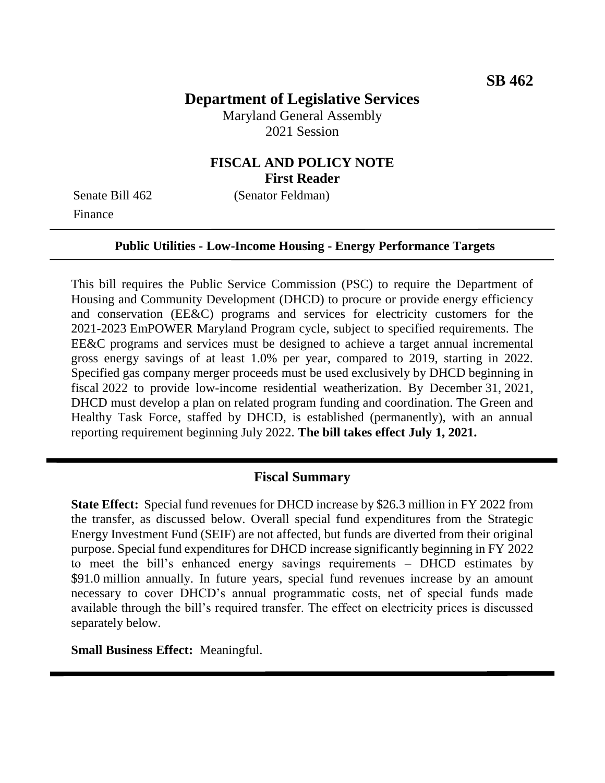# **Department of Legislative Services**

Maryland General Assembly 2021 Session

## **FISCAL AND POLICY NOTE First Reader**

Finance

Senate Bill 462 (Senator Feldman)

#### **Public Utilities - Low-Income Housing - Energy Performance Targets**

This bill requires the Public Service Commission (PSC) to require the Department of Housing and Community Development (DHCD) to procure or provide energy efficiency and conservation (EE&C) programs and services for electricity customers for the 2021-2023 EmPOWER Maryland Program cycle, subject to specified requirements. The EE&C programs and services must be designed to achieve a target annual incremental gross energy savings of at least 1.0% per year, compared to 2019, starting in 2022. Specified gas company merger proceeds must be used exclusively by DHCD beginning in fiscal 2022 to provide low-income residential weatherization. By December 31, 2021, DHCD must develop a plan on related program funding and coordination. The Green and Healthy Task Force, staffed by DHCD, is established (permanently), with an annual reporting requirement beginning July 2022. **The bill takes effect July 1, 2021.** 

### **Fiscal Summary**

**State Effect:** Special fund revenues for DHCD increase by \$26.3 million in FY 2022 from the transfer, as discussed below. Overall special fund expenditures from the Strategic Energy Investment Fund (SEIF) are not affected, but funds are diverted from their original purpose. Special fund expenditures for DHCD increase significantly beginning in FY 2022 to meet the bill's enhanced energy savings requirements – DHCD estimates by \$91.0 million annually. In future years, special fund revenues increase by an amount necessary to cover DHCD's annual programmatic costs, net of special funds made available through the bill's required transfer. The effect on electricity prices is discussed separately below.

**Small Business Effect:** Meaningful.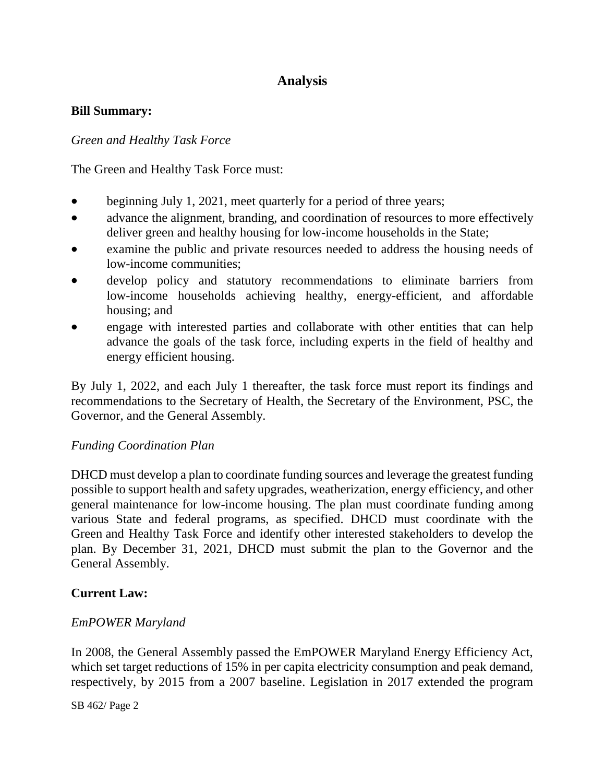# **Analysis**

#### **Bill Summary:**

#### *Green and Healthy Task Force*

The Green and Healthy Task Force must:

- beginning July 1, 2021, meet quarterly for a period of three years;
- advance the alignment, branding, and coordination of resources to more effectively deliver green and healthy housing for low-income households in the State;
- examine the public and private resources needed to address the housing needs of low-income communities;
- develop policy and statutory recommendations to eliminate barriers from low-income households achieving healthy, energy-efficient, and affordable housing; and
- engage with interested parties and collaborate with other entities that can help advance the goals of the task force, including experts in the field of healthy and energy efficient housing.

By July 1, 2022, and each July 1 thereafter, the task force must report its findings and recommendations to the Secretary of Health, the Secretary of the Environment, PSC, the Governor, and the General Assembly.

#### *Funding Coordination Plan*

DHCD must develop a plan to coordinate funding sources and leverage the greatest funding possible to support health and safety upgrades, weatherization, energy efficiency, and other general maintenance for low-income housing. The plan must coordinate funding among various State and federal programs, as specified. DHCD must coordinate with the Green and Healthy Task Force and identify other interested stakeholders to develop the plan. By December 31, 2021, DHCD must submit the plan to the Governor and the General Assembly.

### **Current Law:**

### *EmPOWER Maryland*

In 2008, the General Assembly passed the EmPOWER Maryland Energy Efficiency Act, which set target reductions of 15% in per capita electricity consumption and peak demand, respectively, by 2015 from a 2007 baseline. Legislation in 2017 extended the program

SB 462/ Page 2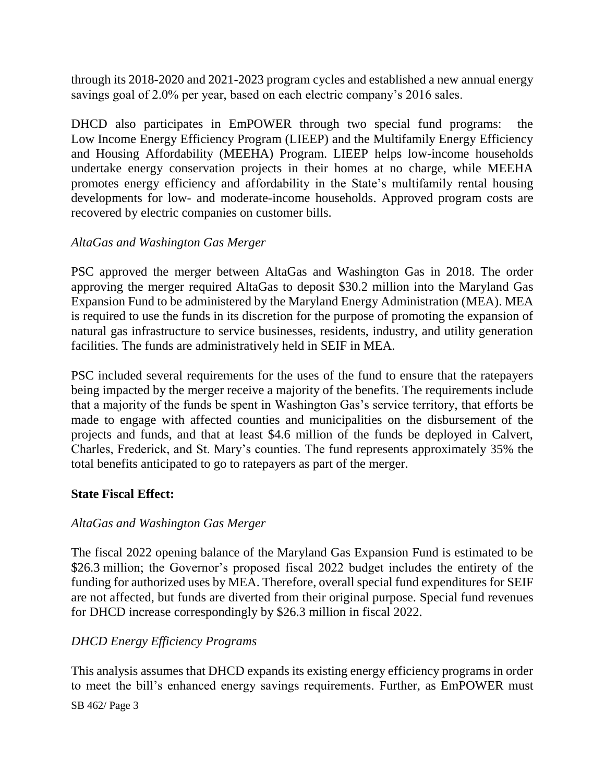through its 2018-2020 and 2021-2023 program cycles and established a new annual energy savings goal of 2.0% per year, based on each electric company's 2016 sales.

DHCD also participates in EmPOWER through two special fund programs: the Low Income Energy Efficiency Program (LIEEP) and the Multifamily Energy Efficiency and Housing Affordability (MEEHA) Program. LIEEP helps low-income households undertake energy conservation projects in their homes at no charge, while MEEHA promotes energy efficiency and affordability in the State's multifamily rental housing developments for low- and moderate-income households. Approved program costs are recovered by electric companies on customer bills.

### *AltaGas and Washington Gas Merger*

PSC approved the merger between AltaGas and Washington Gas in 2018. The order approving the merger required AltaGas to deposit \$30.2 million into the Maryland Gas Expansion Fund to be administered by the Maryland Energy Administration (MEA). MEA is required to use the funds in its discretion for the purpose of promoting the expansion of natural gas infrastructure to service businesses, residents, industry, and utility generation facilities. The funds are administratively held in SEIF in MEA.

PSC included several requirements for the uses of the fund to ensure that the ratepayers being impacted by the merger receive a majority of the benefits. The requirements include that a majority of the funds be spent in Washington Gas's service territory, that efforts be made to engage with affected counties and municipalities on the disbursement of the projects and funds, and that at least \$4.6 million of the funds be deployed in Calvert, Charles, Frederick, and St. Mary's counties. The fund represents approximately 35% the total benefits anticipated to go to ratepayers as part of the merger.

### **State Fiscal Effect:**

### *AltaGas and Washington Gas Merger*

The fiscal 2022 opening balance of the Maryland Gas Expansion Fund is estimated to be \$26.3 million; the Governor's proposed fiscal 2022 budget includes the entirety of the funding for authorized uses by MEA. Therefore, overall special fund expenditures for SEIF are not affected, but funds are diverted from their original purpose. Special fund revenues for DHCD increase correspondingly by \$26.3 million in fiscal 2022.

### *DHCD Energy Efficiency Programs*

This analysis assumes that DHCD expands its existing energy efficiency programs in order to meet the bill's enhanced energy savings requirements. Further, as EmPOWER must

#### SB 462/ Page 3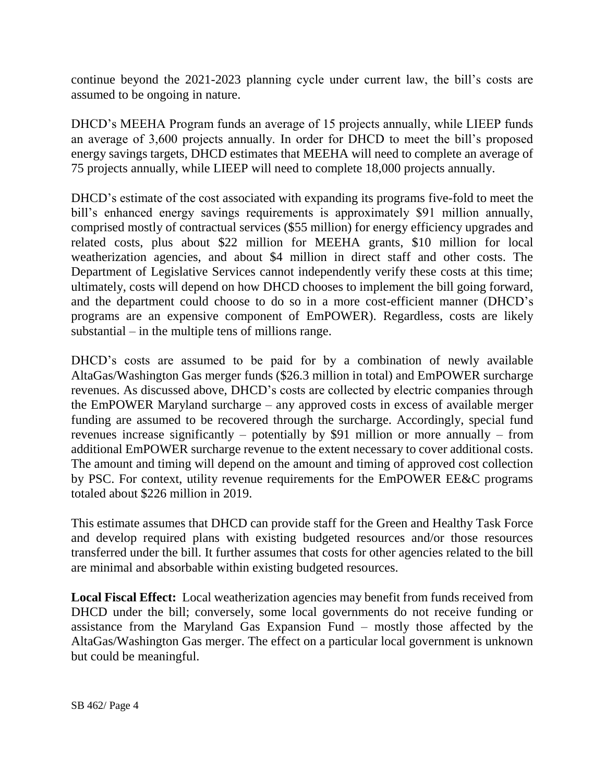continue beyond the 2021-2023 planning cycle under current law, the bill's costs are assumed to be ongoing in nature.

DHCD's MEEHA Program funds an average of 15 projects annually, while LIEEP funds an average of 3,600 projects annually. In order for DHCD to meet the bill's proposed energy savings targets, DHCD estimates that MEEHA will need to complete an average of 75 projects annually, while LIEEP will need to complete 18,000 projects annually.

DHCD's estimate of the cost associated with expanding its programs five-fold to meet the bill's enhanced energy savings requirements is approximately \$91 million annually, comprised mostly of contractual services (\$55 million) for energy efficiency upgrades and related costs, plus about \$22 million for MEEHA grants, \$10 million for local weatherization agencies, and about \$4 million in direct staff and other costs. The Department of Legislative Services cannot independently verify these costs at this time; ultimately, costs will depend on how DHCD chooses to implement the bill going forward, and the department could choose to do so in a more cost-efficient manner (DHCD's programs are an expensive component of EmPOWER). Regardless, costs are likely substantial – in the multiple tens of millions range.

DHCD's costs are assumed to be paid for by a combination of newly available AltaGas/Washington Gas merger funds (\$26.3 million in total) and EmPOWER surcharge revenues. As discussed above, DHCD's costs are collected by electric companies through the EmPOWER Maryland surcharge – any approved costs in excess of available merger funding are assumed to be recovered through the surcharge. Accordingly, special fund revenues increase significantly – potentially by \$91 million or more annually – from additional EmPOWER surcharge revenue to the extent necessary to cover additional costs. The amount and timing will depend on the amount and timing of approved cost collection by PSC. For context, utility revenue requirements for the EmPOWER EE&C programs totaled about \$226 million in 2019.

This estimate assumes that DHCD can provide staff for the Green and Healthy Task Force and develop required plans with existing budgeted resources and/or those resources transferred under the bill. It further assumes that costs for other agencies related to the bill are minimal and absorbable within existing budgeted resources.

**Local Fiscal Effect:** Local weatherization agencies may benefit from funds received from DHCD under the bill; conversely, some local governments do not receive funding or assistance from the Maryland Gas Expansion Fund – mostly those affected by the AltaGas/Washington Gas merger. The effect on a particular local government is unknown but could be meaningful.